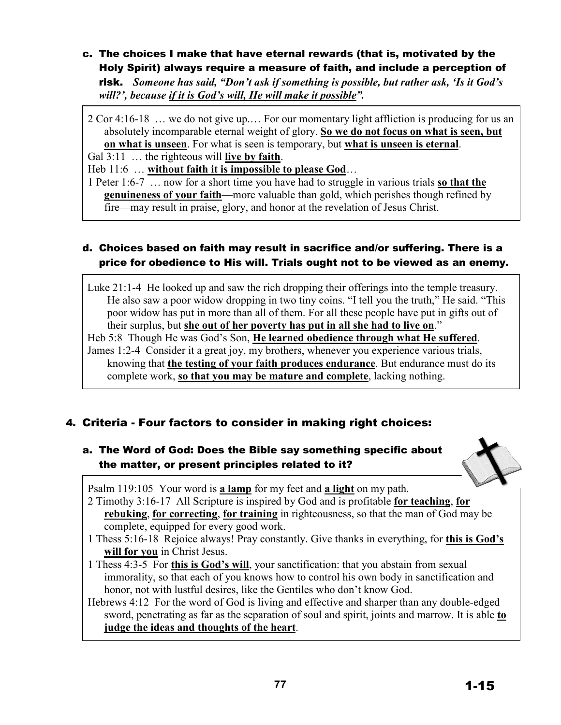### c. The choices I make that have eternal rewards (that is, motivated by the Holy Spirit) always require a measure of faith, and include a perception of risk. *Someone has said, "Don't ask if something is possible, but rather ask, 'Is it God's will?', because if it is God's will, He will make it possible".*

2 Cor 4:16-18 … we do not give up.… For our momentary light affliction is producing for us an absolutely incomparable eternal weight of glory. **So we do not focus on what is seen, but on what is unseen**. For what is seen is temporary, but **what is unseen is eternal**.

Gal 3:11 … the righteous will **live by faith**.

Heb 11:6 … **without faith it is impossible to please God**…

1 Peter 1:6-7 … now for a short time you have had to struggle in various trials **so that the genuineness of your faith**—more valuable than gold, which perishes though refined by fire—may result in praise, glory, and honor at the revelation of Jesus Christ.

## d. Choices based on faith may result in sacrifice and/or suffering. There is a price for obedience to His will. Trials ought not to be viewed as an enemy.

Luke 21:1-4 He looked up and saw the rich dropping their offerings into the temple treasury. He also saw a poor widow dropping in two tiny coins. "I tell you the truth," He said. "This poor widow has put in more than all of them. For all these people have put in gifts out of their surplus, but **she out of her poverty has put in all she had to live on**."

Heb 5:8 Though He was God's Son, **He learned obedience through what He suffered**. James 1:2-4 Consider it a great joy, my brothers, whenever you experience various trials, knowing that **the testing of your faith produces endurance**. But endurance must do its complete work, **so that you may be mature and complete**, lacking nothing.

# 4. Criteria - Four factors to consider in making right choices:

# a. The Word of God: Does the Bible say something specific about the matter, or present principles related to it?



Psalm 119:105 Your word is **a lamp** for my feet and **a light** on my path.

- 2 Timothy 3:16-17 All Scripture is inspired by God and is profitable **for teaching**, **for rebuking**, **for correcting**, **for training** in righteousness, so that the man of God may be complete, equipped for every good work.
- 1 Thess 5:16-18 Rejoice always! Pray constantly. Give thanks in everything, for **this is God's will for you** in Christ Jesus.
- 1 Thess 4:3-5 For **this is God's will**, your sanctification: that you abstain from sexual immorality, so that each of you knows how to control his own body in sanctification and honor, not with lustful desires, like the Gentiles who don't know God.

Hebrews 4:12 For the word of God is living and effective and sharper than any double-edged sword, penetrating as far as the separation of soul and spirit, joints and marrow. It is able **to judge the ideas and thoughts of the heart**.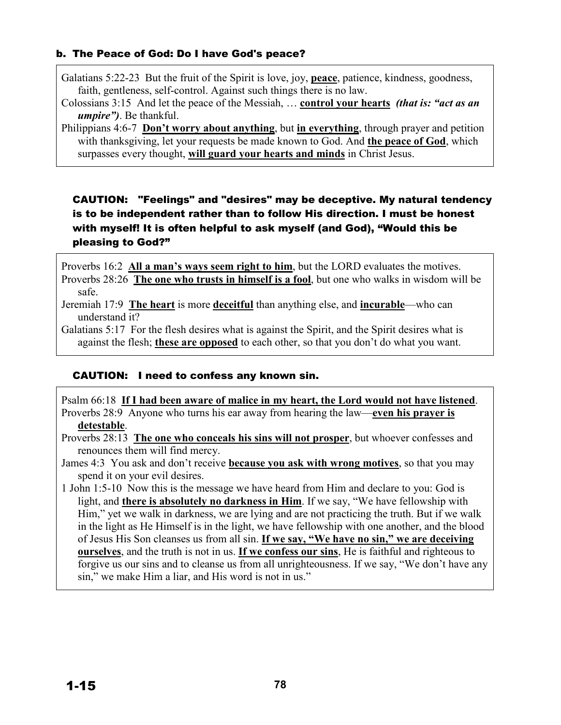#### b. The Peace of God: Do I have God's peace?

Galatians 5:22-23 But the fruit of the Spirit is love, joy, **peace**, patience, kindness, goodness, faith, gentleness, self-control. Against such things there is no law.

Colossians 3:15 And let the peace of the Messiah, … **control your hearts** *(that is: "act as an umpire")*. Be thankful.

Philippians 4:6-7 **Don't worry about anything**, but **in everything**, through prayer and petition with thanksgiving, let your requests be made known to God. And **the peace of God**, which surpasses every thought, **will guard your hearts and minds** in Christ Jesus.

CAUTION: "Feelings" and "desires" may be deceptive. My natural tendency is to be independent rather than to follow His direction. I must be honest with myself! It is often helpful to ask myself (and God), "Would this be pleasing to God?"

Proverbs 16:2 **All a man's ways seem right to him**, but the LORD evaluates the motives. Proverbs 28:26 **The one who trusts in himself is a fool**, but one who walks in wisdom will be

safe.

Jeremiah 17:9 **The heart** is more **deceitful** than anything else, and **incurable**—who can understand it?

Galatians 5:17 For the flesh desires what is against the Spirit, and the Spirit desires what is against the flesh; **these are opposed** to each other, so that you don't do what you want.

#### CAUTION: I need to confess any known sin.

Psalm 66:18 **If I had been aware of malice in my heart, the Lord would not have listened**. Proverbs 28:9 Anyone who turns his ear away from hearing the law—**even his prayer is detestable**.

Proverbs 28:13 **The one who conceals his sins will not prosper**, but whoever confesses and renounces them will find mercy.

James 4:3 You ask and don't receive **because you ask with wrong motives**, so that you may spend it on your evil desires.

1 John 1:5-10 Now this is the message we have heard from Him and declare to you: God is light, and **there is absolutely no darkness in Him**. If we say, "We have fellowship with Him," yet we walk in darkness, we are lying and are not practicing the truth. But if we walk in the light as He Himself is in the light, we have fellowship with one another, and the blood of Jesus His Son cleanses us from all sin. **If we say, "We have no sin," we are deceiving ourselves**, and the truth is not in us. **If we confess our sins**, He is faithful and righteous to forgive us our sins and to cleanse us from all unrighteousness. If we say, "We don't have any sin," we make Him a liar, and His word is not in us."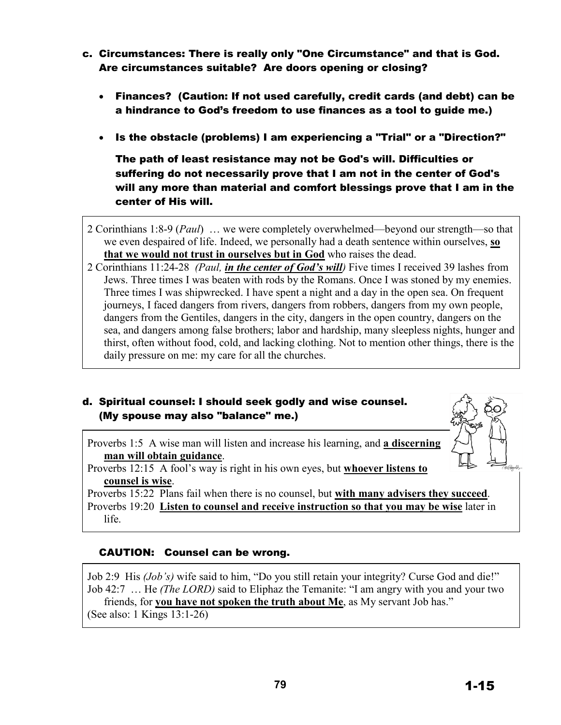- c. Circumstances: There is really only "One Circumstance" and that is God. Are circumstances suitable? Are doors opening or closing?
	- Finances? (Caution: If not used carefully, credit cards (and debt) can be a hindrance to God's freedom to use finances as a tool to guide me.)
	- Is the obstacle (problems) I am experiencing a "Trial" or a "Direction?"

The path of least resistance may not be God's will. Difficulties or suffering do not necessarily prove that I am not in the center of God's will any more than material and comfort blessings prove that I am in the center of His will.

- 2 Corinthians 1:8-9 (*Paul*) … we were completely overwhelmed—beyond our strength—so that we even despaired of life. Indeed, we personally had a death sentence within ourselves, **so that we would not trust in ourselves but in God** who raises the dead.
- 2 Corinthians 11:24-28 *(Paul, in the center of God's will)* Five times I received 39 lashes from Jews. Three times I was beaten with rods by the Romans. Once I was stoned by my enemies. Three times I was shipwrecked. I have spent a night and a day in the open sea. On frequent journeys, I faced dangers from rivers, dangers from robbers, dangers from my own people, dangers from the Gentiles, dangers in the city, dangers in the open country, dangers on the sea, and dangers among false brothers; labor and hardship, many sleepless nights, hunger and thirst, often without food, cold, and lacking clothing. Not to mention other things, there is the daily pressure on me: my care for all the churches.

## d. Spiritual counsel: I should seek godly and wise counsel. (My spouse may also "balance" me.)

Proverbs 1:5 A wise man will listen and increase his learning, and **a discerning man will obtain guidance**.

Proverbs 12:15 A fool's way is right in his own eyes, but **whoever listens to counsel is wise**.

Proverbs 15:22 Plans fail when there is no counsel, but **with many advisers they succeed**. Proverbs 19:20 **Listen to counsel and receive instruction so that you may be wise** later in life.

### CAUTION: Counsel can be wrong.

Job 2:9 His *(Job's)* wife said to him, "Do you still retain your integrity? Curse God and die!" Job 42:7 … He *(The LORD)* said to Eliphaz the Temanite: "I am angry with you and your two friends, for **you have not spoken the truth about Me**, as My servant Job has." (See also: 1 Kings 13:1-26)